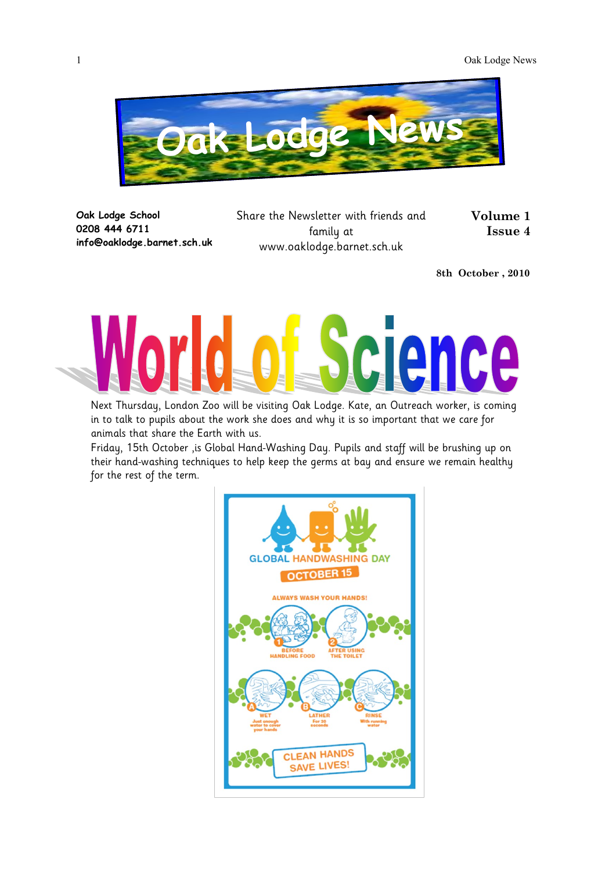

**Oak Lodge School 0208 444 6711 info@oaklodge.barnet.sch.uk** Share the Newsletter with friends and family at www.oaklodge.barnet.sch.uk

**Volume 1 Issue 4** 

**8th October , 2010**



Next Thursday, London Zoo will be visiting Oak Lodge. Kate, an Outreach worker, is coming in to talk to pupils about the work she does and why it is so important that we care for animals that share the Earth with us.

Friday, 15th October ,is Global Hand-Washing Day. Pupils and staff will be brushing up on their hand-washing techniques to help keep the germs at bay and ensure we remain healthy for the rest of the term.

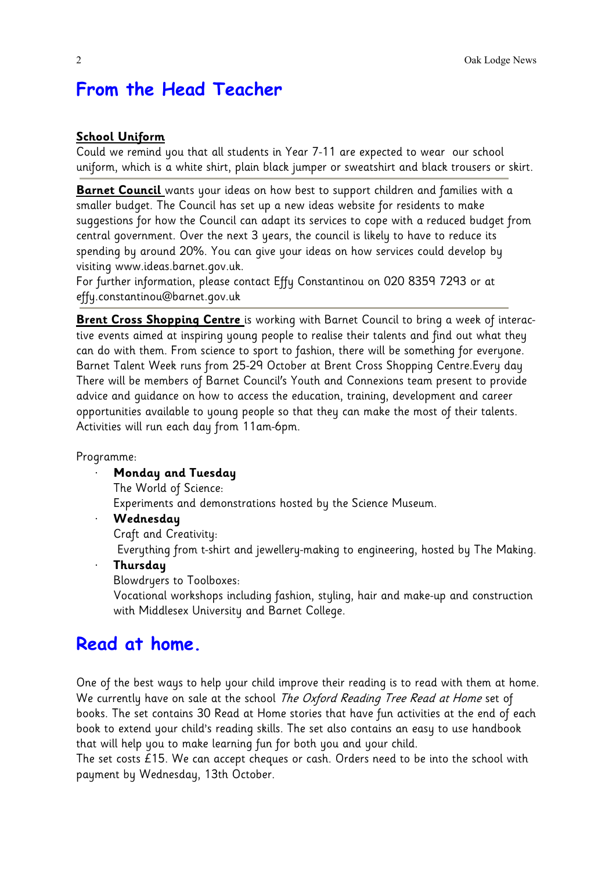# **From the Head Teacher**

### **School Uniform**

Could we remind you that all students in Year 7-11 are expected to wear our school uniform, which is a white shirt, plain black jumper or sweatshirt and black trousers or skirt.

**Barnet Council** wants your ideas on how best to support children and families with a smaller budget. The Council has set up a new ideas website for residents to make suggestions for how the Council can adapt its services to cope with a reduced budget from central government. Over the next 3 years, the council is likely to have to reduce its spending by around 20%. You can give your ideas on how services could develop by visiting www.ideas.barnet.gov.uk.

For further information, please contact Effy Constantinou on 020 8359 7293 or at effy.constantinou@barnet.gov.uk

**Brent Cross Shopping Centre** is working with Barnet Council to bring a week of interactive events aimed at inspiring young people to realise their talents and find out what they can do with them. From science to sport to fashion, there will be something for everyone. Barnet Talent Week runs from 25-29 October at Brent Cross Shopping Centre.Every day There will be members of Barnet Council's Youth and Connexions team present to provide advice and guidance on how to access the education, training, development and career opportunities available to young people so that they can make the most of their talents. Activities will run each day from 11am-6pm.

Programme:

· **Monday and Tuesday**

The World of Science:

Experiments and demonstrations hosted by the Science Museum.

#### · **Wednesday**

Craft and Creativity:

Everything from t-shirt and jewellery-making to engineering, hosted by The Making.

· **Thursday**

Blowdryers to Toolboxes:

Vocational workshops including fashion, styling, hair and make-up and construction with Middlesex University and Barnet College.

## **Read at home.**

One of the best ways to help your child improve their reading is to read with them at home. We currently have on sale at the school The Oxford Reading Tree Read at Home set of books. The set contains 30 Read at Home stories that have fun activities at the end of each book to extend your child's reading skills. The set also contains an easy to use handbook that will help you to make learning fun for both you and your child.

The set costs £15. We can accept cheques or cash. Orders need to be into the school with payment by Wednesday, 13th October.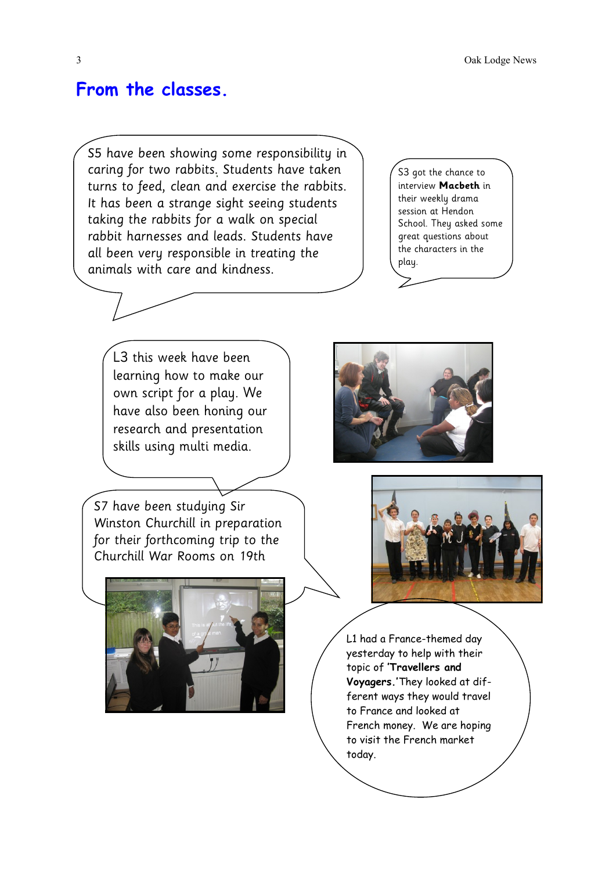3 Oak Lodge News

### **From the classes.**

S5 have been showing some responsibility in caring for two rabbits. Students have taken turns to feed, clean and exercise the rabbits. It has been a strange sight seeing students taking the rabbits for a walk on special rabbit harnesses and leads. Students have all been very responsible in treating the animals with care and kindness.

S3 got the chance to interview **Macbeth** in their weekly drama session at Hendon School. They asked some great questions about the characters in the play.



S7 have been studying Sir Winston Churchill in preparation for their forthcoming trip to the Churchill War Rooms on 19th







L1 had a France-themed day yesterday to help with their topic of **'Travellers and Voyagers.'**They looked at different ways they would travel to France and looked at French money. We are hoping to visit the French market today.